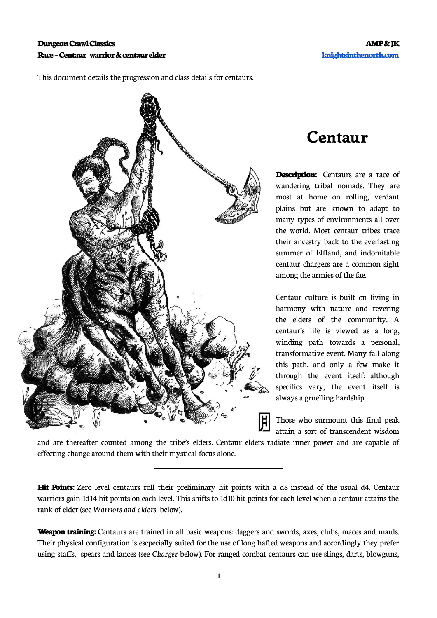

 $\overline{\phantom{a}}$ 

## This document details the progression and class details for centaurs.

## **Centaur**

**Description:** Centaurs are a race of wandering tribal nomads. They are most at home on rolling, verdant plains but are known to adapt to many types of environments all over the world. Most centaur tribes trace their ancestry back to the everlasting summer of Elfland, and indomitable centaur chargers are a common sight among the armies of the fae.

Centaur culture is built on living in harmony with nature and revering the elders of the community. A centaur's life is viewed as a long, winding path towards a personal, transformative event. Many fall along this path, and only a few make it through the event itself: although specifics vary, the event itself is always a gruelling hardship.

Those who surmount this final peak attain a sort of transcendent wisdom

and are thereafter counted among the tribe's elders. Centaur elders radiate inner power and are capable of effecting change around them with their mystical focus alone.

**Hit Points:** Zero level centaurs roll their preliminary hit points with a d8 instead of the usual d4. Centaur warriors gain 1d14 hit points on each level. This shifts to 1d10 hit points for each level when a centaur attains the rank of elder (see *Warriors and elders* below).

**Weapon training:** Centaurs are trained in all basic weapons: daggers and swords, axes, clubs, maces and mauls. Their physical configuration is escpecially suited for the use of long hafted weapons and accordingly they prefer using staffs, spears and lances (see *Charger* below). For ranged combat centaurs can use slings, darts, blowguns,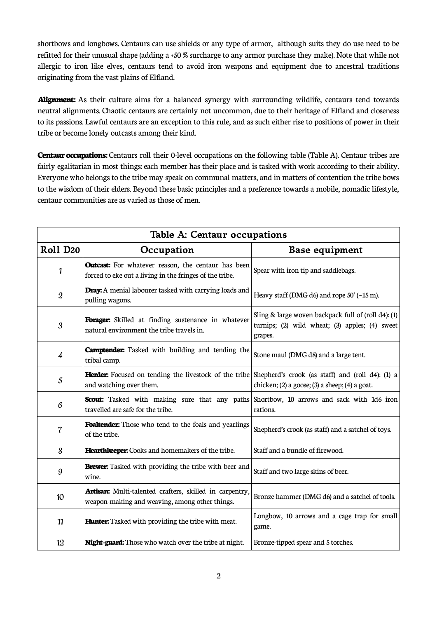shortbows and longbows. Centaurs can use shields or any type of armor, although suits they do use need to be refitted for their unusual shape (adding a +50 % surcharge to any armor purchase they make). Note that while not allergic to iron like elves, centaurs tend to avoid iron weapons and equipment due to ancestral traditions originating from the vast plains of Elfland.

**Alignment:** As their culture aims for a balanced synergy with surrounding wildlife, centaurs tend towards neutral alignments. Chaotic centaurs are certainly not uncommon, due to their heritage of Elfland and closeness to its passions. Lawful centaurs are an exception to this rule, and as such either rise to positions of power in their tribe or become lonely outcasts among their kind.

**Centaur occupations:** Centaurs roll their 0-level occupations on the following table (Table A). Centaur tribes are fairly egalitarian in most things: each member has their place and is tasked with work according to their ability. Everyone who belongs to the tribe may speak on communal matters, and in matters of contention the tribe bows to the wisdom of their elders. Beyond these basic principles and a preference towards a mobile, nomadic lifestyle, centaur communities are as varied as those of men.

| Table A: Centaur occupations |                                                                                                                                          |                                                                                                                  |  |  |  |  |
|------------------------------|------------------------------------------------------------------------------------------------------------------------------------------|------------------------------------------------------------------------------------------------------------------|--|--|--|--|
| Roll D <sub>20</sub>         | Occupation                                                                                                                               | <b>Base equipment</b>                                                                                            |  |  |  |  |
| 1                            | <b>Outcast:</b> For whatever reason, the centaur has been<br>forced to eke out a living in the fringes of the tribe.                     | Spear with iron tip and saddlebags.                                                                              |  |  |  |  |
| $\mathfrak{2}$               | Dray: A menial labourer tasked with carrying loads and<br>pulling wagons.                                                                | Heavy staff (DMG d6) and rope 50' (~15 m).                                                                       |  |  |  |  |
| 3                            | Forager: Skilled at finding sustenance in whatever<br>natural environment the tribe travels in.                                          | Sling & large woven backpack full of (roll d4): (1)<br>turnips; (2) wild wheat; (3) apples; (4) sweet<br>grapes. |  |  |  |  |
| $\frac{1}{4}$                | <b>Camptender:</b> Tasked with building and tending the<br>tribal camp.                                                                  | Stone maul (DMG d8) and a large tent.                                                                            |  |  |  |  |
| 5                            | <b>Herder:</b> Focused on tending the livestock of the tribe Shepherd's crook (as staff) and (roll d4): (1) a<br>and watching over them. | chicken; (2) a goose; (3) a sheep; (4) a goat.                                                                   |  |  |  |  |
| 6                            | <b>Scout:</b> Tasked with making sure that any paths Shortbow, 10 arrows and sack with 1d6 iron<br>travelled are safe for the tribe.     | rations.                                                                                                         |  |  |  |  |
| $\overline{\mathcal{C}}$     | Foaltender: Those who tend to the foals and yearlings<br>of the tribe.                                                                   | Shepherd's crook (as staff) and a satchel of toys.                                                               |  |  |  |  |
| 8                            | Hearthkeeper: Cooks and homemakers of the tribe.                                                                                         | Staff and a bundle of firewood.                                                                                  |  |  |  |  |
| $\boldsymbol{9}$             | <b>Brewer:</b> Tasked with providing the tribe with beer and<br>wine.                                                                    | Staff and two large skins of beer.                                                                               |  |  |  |  |
| 10                           | Artisan: Multi-talented crafters, skilled in carpentry,<br>weapon-making and weaving, among other things.                                | Bronze hammer (DMG d6) and a satchel of tools.                                                                   |  |  |  |  |
| 11                           | <b>Hunter:</b> Tasked with providing the tribe with meat.                                                                                | Longbow, 10 arrows and a cage trap for small<br>game.                                                            |  |  |  |  |
| 12                           | Night-guard: Those who watch over the tribe at night.                                                                                    | Bronze-tipped spear and 5 torches.                                                                               |  |  |  |  |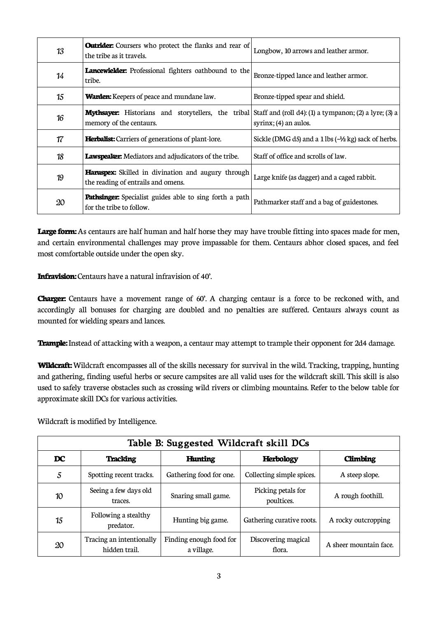| 13 | <b>Outrider:</b> Coursers who protect the flanks and rear of<br>the tribe as it travels.                                                    | Longbow, 10 arrows and leather armor.                                           |
|----|---------------------------------------------------------------------------------------------------------------------------------------------|---------------------------------------------------------------------------------|
| 14 | <b>Lancewielder:</b> Professional fighters oathbound to the<br>tribe.                                                                       | Bronze-tipped lance and leather armor.                                          |
| 15 | <b>Warden:</b> Keepers of peace and mundane law.                                                                                            | Bronze-tipped spear and shield.                                                 |
| 16 | <b>Mythsayer:</b> Historians and storytellers, the tribal Staff and (roll d4): (1) a tympanon; (2) a lyre; (3) a<br>memory of the centaurs. | $syrinx$ ; (4) an aulos.                                                        |
| 17 | <b>Herbalist:</b> Carriers of generations of plant-lore.                                                                                    | Sickle (DMG d5) and a $1 \text{ lbs } (-\frac{1}{2} \text{ kg})$ sack of herbs. |
| 18 | <b>Lawspeaker:</b> Mediators and adjudicators of the tribe.                                                                                 | Staff of office and scrolls of law.                                             |
| 19 | <b>Haruspex:</b> Skilled in divination and augury through<br>the reading of entrails and omens.                                             | Large knife (as dagger) and a caged rabbit.                                     |
| 20 | <b>Pathsinger:</b> Specialist guides able to sing forth a path<br>for the tribe to follow.                                                  | Pathmarker staff and a bag of guidestones.                                      |

Large form: As centaurs are half human and half horse they may have trouble fitting into spaces made for men, and certain environmental challenges may prove impassable for them. Centaurs abhor closed spaces, and feel most comfortable outside under the open sky.

**Infravision:** Centaurs have a natural infravision of 40'.

**Charger:** Centaurs have a movement range of 60'. A charging centaur is a force to be reckoned with, and accordingly all bonuses for charging are doubled and no penalties are suffered. Centaurs always count as mounted for wielding spears and lances.

**Trample:** Instead of attacking with a weapon, a centaur may attempt to trample their opponent for 2d4 damage.

**Wildcraft:** Wildcraft encompasses all of the skills necessary for survival in the wild. Tracking, trapping, hunting and gathering, finding useful herbs or secure campsites are all valid uses for the wildcraft skill. This skill is also used to safely traverse obstacles such as crossing wild rivers or climbing mountains. Refer to the below table for approximate skill DCs for various activities.

Wildcraft is modified by Intelligence.

| Table B: Suggested Wildcraft skill DCs |                                           |                                       |                                  |                        |  |  |  |  |
|----------------------------------------|-------------------------------------------|---------------------------------------|----------------------------------|------------------------|--|--|--|--|
| <b>DC</b>                              | <b>Tracking</b>                           | <b>Hunting</b>                        | <b>Herbology</b>                 |                        |  |  |  |  |
| 5                                      | Spotting recent tracks.                   | Gathering food for one.               | Collecting simple spices.        | A steep slope.         |  |  |  |  |
| 10                                     | Seeing a few days old<br>traces.          | Snaring small game.                   | Picking petals for<br>poultices. | A rough foothill.      |  |  |  |  |
| 15                                     | Following a stealthy<br>predator.         | Hunting big game.                     | Gathering curative roots.        | A rocky outcropping    |  |  |  |  |
| 20                                     | Tracing an intentionally<br>hidden trail. | Finding enough food for<br>a village. | Discovering magical<br>flora.    | A sheer mountain face. |  |  |  |  |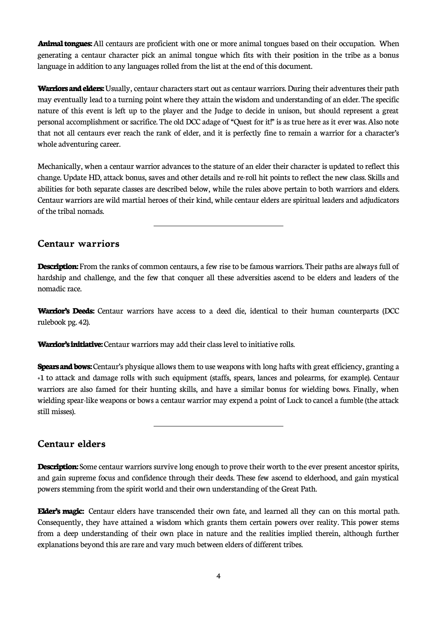**Animal tongues:** All centaurs are proficient with one or more animal tongues based on their occupation. When generating a centaur character pick an animal tongue which fits with their position in the tribe as a bonus language in addition to any languages rolled from the list at the end of this document.

**Warriors and elders:** Usually, centaur characters start out as centaur warriors. During their adventures their path may eventually lead to a turning point where they attain the wisdom and understanding of an elder. The specific nature of this event is left up to the player and the Judge to decide in unison, but should represent a great personal accomplishment or sacrifice. The old DCC adage of "Quest for it!" is as true here as it ever was. Also note that not all centaurs ever reach the rank of elder, and it is perfectly fine to remain a warrior for a character's whole adventuring career.

Mechanically, when a centaur warrior advances to the stature of an elder their character is updated to reflect this change. Update HD, attack bonus, saves and other details and re-roll hit points to reflect the new class. Skills and abilities for both separate classes are described below, while the rules above pertain to both warriors and elders. Centaur warriors are wild martial heroes of their kind, while centaur elders are spiritual leaders and adjudicators of the tribal nomads.

## **Centaur warriors**

**Description:** From the ranks of common centaurs, a few rise to be famous warriors. Their paths are always full of hardship and challenge, and the few that conquer all these adversities ascend to be elders and leaders of the nomadic race.

**Warrior's Deeds:** Centaur warriors have access to a deed die, identical to their human counterparts (DCC rulebook pg. 42).

**Warrior's initiative:** Centaur warriors may add their class level to initiative rolls.

**Spears and bows:** Centaur's physique allows them to use weapons with long hafts with great efficiency, granting a +1 to attack and damage rolls with such equipment (staffs, spears, lances and polearms, for example). Centaur warriors are also famed for their hunting skills, and have a similar bonus for wielding bows. Finally, when wielding spear-like weapons or bows a centaur warrior may expend a point of Luck to cancel a fumble (the attack still misses).

**Centaur elders**

**Description:** Some centaur warriors survive long enough to prove their worth to the ever present ancestor spirits, and gain supreme focus and confidence through their deeds. These few ascend to elderhood, and gain mystical powers stemming from the spirit world and their own understanding of the Great Path.

**Elder's magic:** Centaur elders have transcended their own fate, and learned all they can on this mortal path. Consequently, they have attained a wisdom which grants them certain powers over reality. This power stems from a deep understanding of their own place in nature and the realities implied therein, although further explanations beyond this are rare and vary much between elders of different tribes.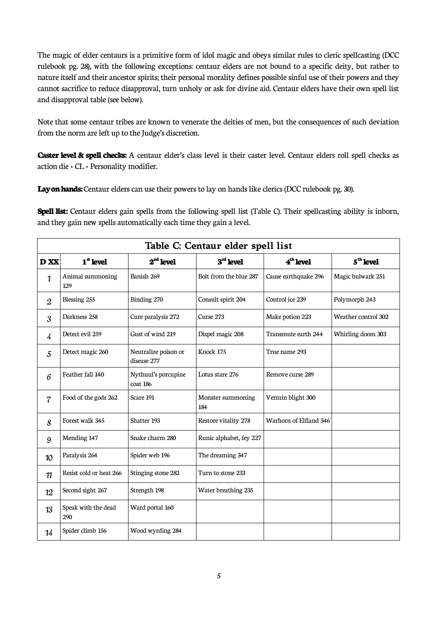The magic of elder centaurs is a primitive form of idol magic and obeys similar rules to cleric spellcasting (DCC rulebook pg. 28), with the following exceptions: centaur elders are not bound to a specific deity, but rather to nature itself and their ancestor spirits; their personal morality defines possible sinful use of their powers and they cannot sacrifice to reduce disapproval, turn unholy or ask for divine aid. Centaur elders have their own spell list and disapproval table (see below).

Note that some centaur tribes are known to venerate the deities of men, but the consequences of such deviation from the norm are left up to the Judge's discretion.

**Caster level & spell checks:** A centaur elder's class level is their caster level. Centaur elders roll spell checks as action die + CL + Personality modifier.

**Lay on hands:** Centaur elders can use their powers to lay on hands like clerics (DCC rulebook pg. 30).

**Spell list:** Centaur elders gain spells from the following spell list (Table C). Their spellcasting ability is inborn, and they gain new spells automatically each time they gain a level.

| Table C: Centaur elder spell list |                            |                                     |                          |                        |                       |  |  |
|-----------------------------------|----------------------------|-------------------------------------|--------------------------|------------------------|-----------------------|--|--|
| D XX                              | $1st$ level                | $2nd$ level                         | $3rd$ level              | 4 <sup>th</sup> level  | 5 <sup>th</sup> level |  |  |
| 1                                 | Animal summoning<br>129    | Banish 269                          | Bolt from the blue 287   | Cause earthquake 296   | Magic bulwark 251     |  |  |
| $\mathfrak{2}$                    | Blessing 255               | Binding 270                         | Consult spirit 204       | Control ice 239        | Polymorph 243         |  |  |
| 3                                 | Darkness 258               | Cure paralysis 272                  | Curse 273                | Make potion 223        | Weather control 302   |  |  |
| $\overline{4}$                    | Detect evil 259            | Gust of wind 219                    | Dispel magic 208         | Transmute earth 244    | Whirling doom 303     |  |  |
| 5                                 | Detect magic 260           | Neutralize poison or<br>disease 277 | Knock 175                | True name 293          |                       |  |  |
| 6                                 | Feather fall 140           | Nythuul's porcupine<br>coat 186     | Lotus stare 276          | Remove curse 289       |                       |  |  |
| $\overline{\mathcal{C}}$          | Food of the gods 262       | Scare 191                           | Monster summoning<br>184 | Vermin blight 300      |                       |  |  |
| 8                                 | Forest walk 345            | Shatter 193                         | Restore vitality 278     | Warhorn of Elfland 346 |                       |  |  |
| 9                                 | Mending 147                | Snake charm 280                     | Runic alphabet, fey 227  |                        |                       |  |  |
| 10                                | Paralysis 264              | Spider web 196                      | The dreaming 347         |                        |                       |  |  |
| 11                                | Resist cold or heat 266    | Stinging stone 282                  | Turn to stone 233        |                        |                       |  |  |
| 12                                | Second sight 267           | Strength 198                        | Water breathing 235      |                        |                       |  |  |
| 13                                | Speak with the dead<br>290 | Ward portal 160                     |                          |                        |                       |  |  |
| 14                                | Spider climb 156           | Wood wyrding 284                    |                          |                        |                       |  |  |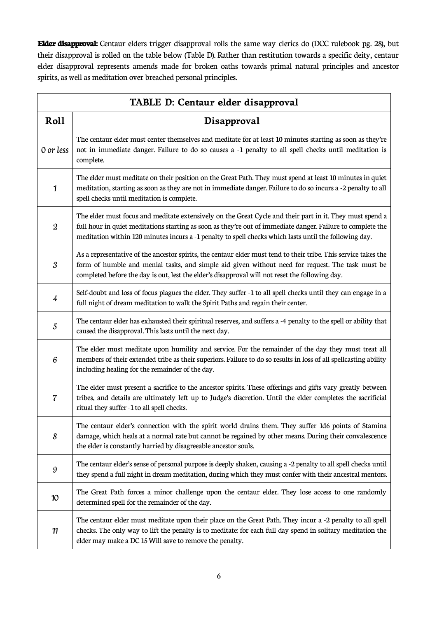**Elder disapproval:** Centaur elders trigger disapproval rolls the same way clerics do (DCC rulebook pg. 28), but their disapproval is rolled on the table below (Table D). Rather than restitution towards a specific deity, centaur elder disapproval represents amends made for broken oaths towards primal natural principles and ancestor spirits, as well as meditation over breached personal principles.

| TABLE D: Centaur elder disapproval |                                                                                                                                                                                                                                                                                                                                   |  |  |  |  |
|------------------------------------|-----------------------------------------------------------------------------------------------------------------------------------------------------------------------------------------------------------------------------------------------------------------------------------------------------------------------------------|--|--|--|--|
| Roll                               | Disapproval                                                                                                                                                                                                                                                                                                                       |  |  |  |  |
| 0 or less                          | The centaur elder must center themselves and meditate for at least 10 minutes starting as soon as they're<br>not in immediate danger. Failure to do so causes a -1 penalty to all spell checks until meditation is<br>complete.                                                                                                   |  |  |  |  |
| $\mathbf{1}$                       | The elder must meditate on their position on the Great Path. They must spend at least 10 minutes in quiet<br>meditation, starting as soon as they are not in immediate danger. Failure to do so incurs a -2 penalty to all<br>spell checks until meditation is complete.                                                          |  |  |  |  |
| $\mathfrak{2}$                     | The elder must focus and meditate extensively on the Great Cycle and their part in it. They must spend a<br>full hour in quiet meditations starting as soon as they're out of immediate danger. Failure to complete the<br>meditation within 120 minutes incurs a -1 penalty to spell checks which lasts until the following day. |  |  |  |  |
| 3                                  | As a representative of the ancestor spirits, the centaur elder must tend to their tribe. This service takes the<br>form of humble and menial tasks, and simple aid given without need for request. The task must be<br>completed before the day is out, lest the elder's disapproval will not reset the following day.            |  |  |  |  |
| $\frac{1}{4}$                      | Self-doubt and loss of focus plagues the elder. They suffer -1 to all spell checks until they can engage in a<br>full night of dream meditation to walk the Spirit Paths and regain their center.                                                                                                                                 |  |  |  |  |
| 5                                  | The centaur elder has exhausted their spiritual reserves, and suffers a -4 penalty to the spell or ability that<br>caused the disapproval. This lasts until the next day.                                                                                                                                                         |  |  |  |  |
| 6                                  | The elder must meditate upon humility and service. For the remainder of the day they must treat all<br>members of their extended tribe as their superiors. Failure to do so results in loss of all spellcasting ability<br>including healing for the remainder of the day.                                                        |  |  |  |  |
| 7                                  | The elder must present a sacrifice to the ancestor spirits. These offerings and gifts vary greatly between<br>tribes, and details are ultimately left up to Judge's discretion. Until the elder completes the sacrificial<br>ritual they suffer -1 to all spell checks.                                                           |  |  |  |  |
| 8                                  | The centaur elder's connection with the spirit world drains them. They suffer 1d6 points of Stamina<br>damage, which heals at a normal rate but cannot be regained by other means. During their convalescence<br>the elder is constantly harried by disagreeable ancestor souls.                                                  |  |  |  |  |
| 9                                  | The centaur elder's sense of personal purpose is deeply shaken, causing a -2 penalty to all spell checks until<br>they spend a full night in dream meditation, during which they must confer with their ancestral mentors.                                                                                                        |  |  |  |  |
| 10                                 | The Great Path forces a minor challenge upon the centaur elder. They lose access to one randomly<br>determined spell for the remainder of the day.                                                                                                                                                                                |  |  |  |  |
| 11                                 | The centaur elder must meditate upon their place on the Great Path. They incur a -2 penalty to all spell<br>checks. The only way to lift the penalty is to meditate: for each full day spend in solitary meditation the<br>elder may make a DC 15 Will save to remove the penalty.                                                |  |  |  |  |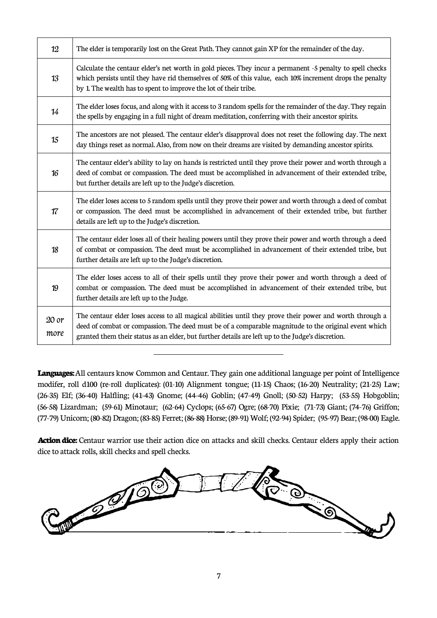| 12            | The elder is temporarily lost on the Great Path. They cannot gain XP for the remainder of the day.                                                                                                                                                                                                                    |
|---------------|-----------------------------------------------------------------------------------------------------------------------------------------------------------------------------------------------------------------------------------------------------------------------------------------------------------------------|
| 13            | Calculate the centaur elder's net worth in gold pieces. They incur a permanent -5 penalty to spell checks<br>which persists until they have rid themselves of 50% of this value, each 10% increment drops the penalty<br>by 1. The wealth has to spent to improve the lot of their tribe.                             |
| 14            | The elder loses focus, and along with it access to 3 random spells for the remainder of the day. They regain<br>the spells by engaging in a full night of dream meditation, conferring with their ancestor spirits.                                                                                                   |
| 15            | The ancestors are not pleased. The centaur elder's disapproval does not reset the following day. The next<br>day things reset as normal. Also, from now on their dreams are visited by demanding ancestor spirits.                                                                                                    |
| 16            | The centaur elder's ability to lay on hands is restricted until they prove their power and worth through a<br>deed of combat or compassion. The deed must be accomplished in advancement of their extended tribe,<br>but further details are left up to the Judge's discretion.                                       |
| 17            | The elder loses access to 5 random spells until they prove their power and worth through a deed of combat<br>or compassion. The deed must be accomplished in advancement of their extended tribe, but further<br>details are left up to the Judge's discretion.                                                       |
| 18            | The centaur elder loses all of their healing powers until they prove their power and worth through a deed<br>of combat or compassion. The deed must be accomplished in advancement of their extended tribe, but<br>further details are left up to the Judge's discretion.                                             |
| 19            | The elder loses access to all of their spells until they prove their power and worth through a deed of<br>combat or compassion. The deed must be accomplished in advancement of their extended tribe, but<br>further details are left up to the Judge.                                                                |
| 20 or<br>more | The centaur elder loses access to all magical abilities until they prove their power and worth through a<br>deed of combat or compassion. The deed must be of a comparable magnitude to the original event which<br>granted them their status as an elder, but further details are left up to the Judge's discretion. |

**Languages:** All centaurs know Common and Centaur. They gain one additional language per point of Intelligence modifer, roll d100 (re-roll duplicates): (01-10) Alignment tongue; (11-15) Chaos; (16-20) Neutrality; (21-25) Law; (26-35) Elf; (36-40) Halfling; (41-43) Gnome; (44-46) Goblin; (47-49) Gnoll; (50-52) Harpy; (53-55) Hobgoblin; (56-58) Lizardman; (59-61) Minotaur; (62-64) Cyclops; (65-67) Ogre; (68-70) Pixie; (71-73) Giant; (74-76) Griffon; (77-79) Unicorn; (80-82) Dragon; (83-85) Ferret; (86-88) Horse; (89-91) Wolf; (92-94) Spider; (95-97) Bear; (98-00) Eagle.

 $\overline{a}$ 

**Action dice:** Centaur warrior use their action dice on attacks and skill checks. Centaur elders apply their action dice to attack rolls, skill checks and spell checks.